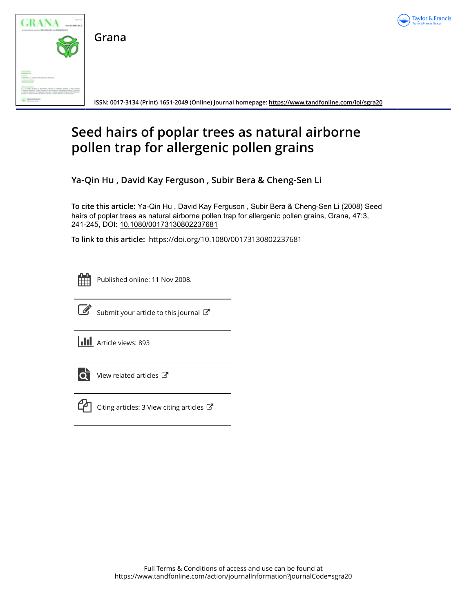



**ISSN: 0017-3134 (Print) 1651-2049 (Online) Journal homepage:<https://www.tandfonline.com/loi/sgra20>**

# **Seed hairs of poplar trees as natural airborne pollen trap for allergenic pollen grains**

**Ya**‐**Qin Hu , David Kay Ferguson , Subir Bera & Cheng**‐**Sen Li**

**To cite this article:** Ya‐Qin Hu , David Kay Ferguson , Subir Bera & Cheng‐Sen Li (2008) Seed hairs of poplar trees as natural airborne pollen trap for allergenic pollen grains, Grana, 47:3, 241-245, DOI: [10.1080/00173130802237681](https://www.tandfonline.com/action/showCitFormats?doi=10.1080/00173130802237681)

**To link to this article:** <https://doi.org/10.1080/00173130802237681>

雦

Published online: 11 Nov 2008.



 $\overrightarrow{S}$  [Submit your article to this journal](https://www.tandfonline.com/action/authorSubmission?journalCode=sgra20&show=instructions)  $\overrightarrow{S}$ 

**III** Article views: 893



 $\overrightarrow{O}$  [View related articles](https://www.tandfonline.com/doi/mlt/10.1080/00173130802237681)  $\overrightarrow{C}$ 



 $\mathbb{C}$  [Citing articles: 3 View citing articles](https://www.tandfonline.com/doi/citedby/10.1080/00173130802237681#tabModule)  $\mathbb{C}$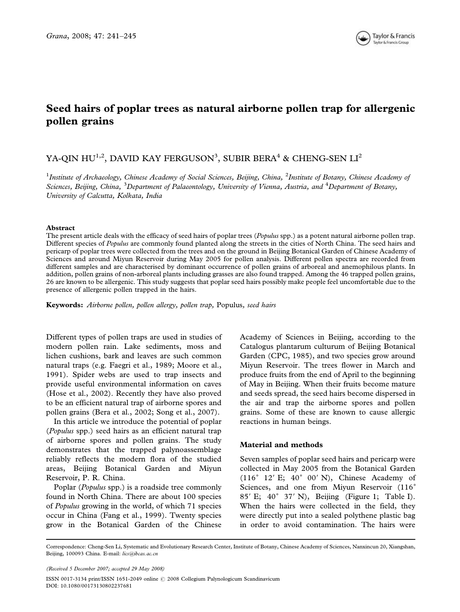

# Seed hairs of poplar trees as natural airborne pollen trap for allergenic pollen grains

# YA-QIN HU $^{\rm 1,2}$ , DAVID KAY FERGUSON $^{\rm 3}$ , SUBIR BERA $^{\rm 4}$  & CHENG-SEN LI $^{\rm 2}$

<sup>1</sup>Institute of Archaeology, Chinese Academy of Social Sciences, Beijing, China, <sup>2</sup>Institute of Botany, Chinese Academy of Sciences, Beijing, China, <sup>3</sup>Department of Palaeontology, University of Vienna, Austria, and <sup>4</sup>Department of Botany, University of Calcutta, Kolkata, India

## Abstract

The present article deals with the efficacy of seed hairs of poplar trees (*Populus* spp.) as a potent natural airborne pollen trap. Different species of Populus are commonly found planted along the streets in the cities of North China. The seed hairs and pericarp of poplar trees were collected from the trees and on the ground in Beijing Botanical Garden of Chinese Academy of Sciences and around Miyun Reservoir during May 2005 for pollen analysis. Different pollen spectra are recorded from different samples and are characterised by dominant occurrence of pollen grains of arboreal and anemophilous plants. In addition, pollen grains of non-arboreal plants including grasses are also found trapped. Among the 46 trapped pollen grains, 26 are known to be allergenic. This study suggests that poplar seed hairs possibly make people feel uncomfortable due to the presence of allergenic pollen trapped in the hairs.

Keywords: Airborne pollen, pollen allergy, pollen trap, Populus, seed hairs

Different types of pollen traps are used in studies of modern pollen rain. Lake sediments, moss and lichen cushions, bark and leaves are such common natural traps (e.g. Faegri et al., 1989; Moore et al., 1991). Spider webs are used to trap insects and provide useful environmental information on caves (Hose et al., 2002). Recently they have also proved to be an efficient natural trap of airborne spores and pollen grains (Bera et al., 2002; Song et al., 2007).

In this article we introduce the potential of poplar (Populus spp.) seed hairs as an efficient natural trap of airborne spores and pollen grains. The study demonstrates that the trapped palynoassemblage reliably reflects the modern flora of the studied areas, Beijing Botanical Garden and Miyun Reservoir, P. R. China.

Poplar (Populus spp.) is a roadside tree commonly found in North China. There are about 100 species of Populus growing in the world, of which 71 species occur in China (Fang et al., 1999). Twenty species grow in the Botanical Garden of the Chinese Academy of Sciences in Beijing, according to the Catalogus plantarum culturum of Beijing Botanical Garden (CPC, 1985), and two species grow around Miyun Reservoir. The trees flower in March and produce fruits from the end of April to the beginning of May in Beijing. When their fruits become mature and seeds spread, the seed hairs become dispersed in the air and trap the airborne spores and pollen grains. Some of these are known to cause allergic reactions in human beings.

# Material and methods

Seven samples of poplar seed hairs and pericarp were collected in May 2005 from the Botanical Garden (116° 12' E; 40° 00' N), Chinese Academy of Sciences, and one from Miyun Reservoir (116˚ 85' E; 40° 37' N), Beijing (Figure 1; Table I). When the hairs were collected in the field, they were directly put into a sealed polythene plastic bag in order to avoid contamination. The hairs were

(Received 5 December 2007; accepted 29 May 2008)

Correspondence: Cheng-Sen Li, Systematic and Evolutionary Research Center, Institute of Botany, Chinese Academy of Sciences, Nanxincun 20, Xiangshan, Beijing, 100093 China. E-mail: lics@ibcas.ac.cn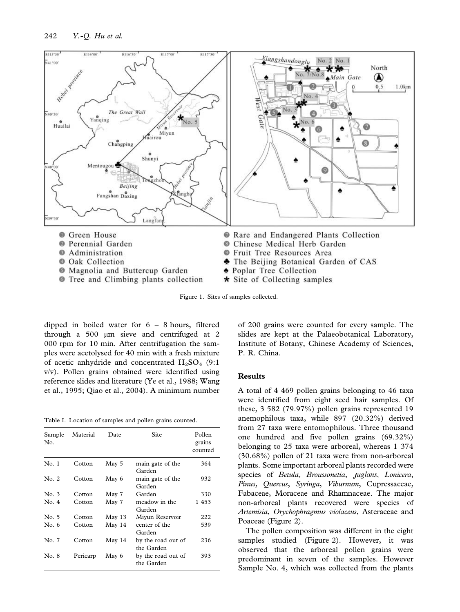

Figure 1. Sites of samples collected.

dipped in boiled water for 6 – 8 hours, filtered through a 500 *m*m sieve and centrifuged at 2 000 rpm for 10 min. After centrifugation the samples were acetolysed for 40 min with a fresh mixture of acetic anhydride and concentrated  $H_2SO_4$  (9:1) v/v). Pollen grains obtained were identified using reference slides and literature (Ye et al., 1988; Wang et al., 1995; Qiao et al., 2004). A minimum number

Table I. Location of samples and pollen grains counted.

| Sample<br>No. | Material | Date     | Site                             | Pollen<br>grains<br>counted |
|---------------|----------|----------|----------------------------------|-----------------------------|
| No. 1         | Cotton   | May 5    | main gate of the<br>Garden       | 364                         |
| No. 2         | Cotton   | May 6    | main gate of the<br>Garden       | 932                         |
| No. 3         | Cotton   | May 7    | Garden                           | 330                         |
| No. 4         | Cotton   | May 7    | meadow in the<br>Garden          | 1453                        |
| No. 5         | Cotton   | May $13$ | Miyun Reservoir                  | 222                         |
| No. 6         | Cotton   | May 14   | center of the<br>Garden          | 539                         |
| No. 7         | Cotton   | May 14   | by the road out of<br>the Garden | 236                         |
| No. 8         | Pericarp | May 6    | by the road out of<br>the Garden | 393                         |

of 200 grains were counted for every sample. The slides are kept at the Palaeobotanical Laboratory, Institute of Botany, Chinese Academy of Sciences, P. R. China.

## Results

A total of 4 469 pollen grains belonging to 46 taxa were identified from eight seed hair samples. Of these, 3 582 (79.97%) pollen grains represented 19 anemophilous taxa, while 897 (20.32%) derived from 27 taxa were entomophilous. Three thousand one hundred and five pollen grains (69.32%) belonging to 25 taxa were arboreal, whereas 1 374 (30.68%) pollen of 21 taxa were from non-arboreal plants. Some important arboreal plants recorded were species of Betula, Broussonetia, Juglans, Lonicera, Pinus, Quercus, Syringa, Viburnum, Cupressaceae, Fabaceae, Moraceae and Rhamnaceae. The major non-arboreal plants recovered were species of Artemisia, Orychophragmus violaceus, Asteraceae and Poaceae (Figure 2).

The pollen composition was different in the eight samples studied (Figure 2). However, it was observed that the arboreal pollen grains were predominant in seven of the samples. However Sample No. 4, which was collected from the plants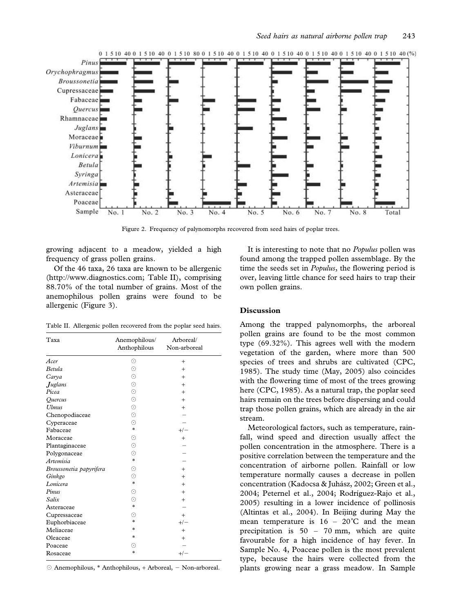

Figure 2. Frequency of palynomorphs recovered from seed hairs of poplar trees.

growing adjacent to a meadow, yielded a high frequency of grass pollen grains.

Of the 46 taxa, 26 taxa are known to be allergenic (http://www.diagnostics.com; Table II), comprising 88.70% of the total number of grains. Most of the anemophilous pollen grains were found to be allergenic (Figure 3).

Table II. Allergenic pollen recovered from the poplar seed hairs.

| Taxa                    | Anemophilous/<br>Anthophilous | Arboreal/<br>Non-arboreal |
|-------------------------|-------------------------------|---------------------------|
| Acer                    | ⊙                             | $+$                       |
| <b>Betula</b>           | $\odot$                       | $+$                       |
| Carya                   | $_{\odot}$                    | $^{+}$                    |
| <b>Juglans</b>          | $\odot$                       | $^{+}$                    |
| Picea                   | $\odot$                       | $^{+}$                    |
| <i><b>Ouercus</b></i>   | $_{\odot}$                    | $+$                       |
| <b>Ulmus</b>            | ⊙                             | $^{+}$                    |
| Chenopodiaceae          | $\odot$                       |                           |
| Cyperaceae              | ⊙                             |                           |
| Fabaceae                | $\ast$                        | $+/-$                     |
| Moraceae                | $\odot$                       | $^{+}$                    |
| Plantaginaceae          | $_{\odot}$                    |                           |
| Polygonaceae            | $\odot$                       |                           |
| Artemisia               | $*$                           |                           |
| Broussonetia papyrifera | $\odot$                       | $+$                       |
| Ginkgo                  | $_{\odot}$                    | $^{+}$                    |
| Lonicera                | $\ast$                        | $^{+}$                    |
| Pinus                   | ⊙                             | $+$                       |
| Salix                   | $_{\odot}$                    | $+$                       |
| Asteraceae              | $\ast$                        |                           |
| Cupressaceae            | ⊙                             | $+$                       |
| Euphorbiaceae           | $*$                           | $+/-$                     |
| Meliaceae               | $*$                           | $+$                       |
| Oleaceae                | *                             | $^+$                      |
| Poaceae                 | ⊙                             |                           |
| Rosaceae                | *                             | $+/-$                     |

 $\odot$  Anemophilous, \* Anthophilous, + Arboreal, - Non-arboreal.

It is interesting to note that no *Populus* pollen was found among the trapped pollen assemblage. By the time the seeds set in Populus, the flowering period is over, leaving little chance for seed hairs to trap their own pollen grains.

## Discussion

Among the trapped palynomorphs, the arboreal pollen grains are found to be the most common type (69.32%). This agrees well with the modern vegetation of the garden, where more than 500 species of trees and shrubs are cultivated (CPC, 1985). The study time (May, 2005) also coincides with the flowering time of most of the trees growing here (CPC, 1985). As a natural trap, the poplar seed hairs remain on the trees before dispersing and could trap those pollen grains, which are already in the air stream.

Meteorological factors, such as temperature, rainfall, wind speed and direction usually affect the pollen concentration in the atmosphere. There is a positive correlation between the temperature and the concentration of airborne pollen. Rainfall or low temperature normally causes a decrease in pollen concentration (Kadocsa & Juhász, 2002; Green et al., 2004; Peternel et al., 2004; Rodríguez-Rajo et al., 2005) resulting in a lower incidence of pollinosis (Altintas et al., 2004). In Beijing during May the mean temperature is  $16 - 20^{\circ}$ C and the mean precipitation is 50 – 70 mm, which are quite favourable for a high incidence of hay fever. In Sample No. 4, Poaceae pollen is the most prevalent type, because the hairs were collected from the plants growing near a grass meadow. In Sample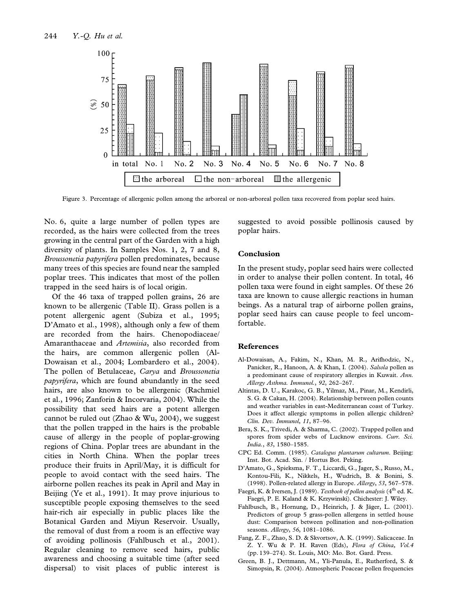

Figure 3. Percentage of allergenic pollen among the arboreal or non-arboreal pollen taxa recovered from poplar seed hairs.

No. 6, quite a large number of pollen types are recorded, as the hairs were collected from the trees growing in the central part of the Garden with a high diversity of plants. In Samples Nos. 1, 2, 7 and 8, Broussonetia papyrifera pollen predominates, because many trees of this species are found near the sampled poplar trees. This indicates that most of the pollen trapped in the seed hairs is of local origin.

Of the 46 taxa of trapped pollen grains, 26 are known to be allergenic (Table II). Grass pollen is a potent allergenic agent (Subiza et al., 1995; D'Amato et al., 1998), although only a few of them are recorded from the hairs. Chenopodiaceae/ Amaranthaceae and Artemisia, also recorded from the hairs, are common allergenic pollen (Al-Dowaisan et al., 2004; Lombardero et al., 2004). The pollen of Betulaceae, Carya and Broussonetia papyrifera, which are found abundantly in the seed hairs, are also known to be allergenic (Rachmiel et al., 1996; Zanforin & Incorvaria, 2004). While the possibility that seed hairs are a potent allergen cannot be ruled out (Zhao & Wu, 2004), we suggest that the pollen trapped in the hairs is the probable cause of allergy in the people of poplar-growing regions of China. Poplar trees are abundant in the cities in North China. When the poplar trees produce their fruits in April/May, it is difficult for people to avoid contact with the seed hairs. The airborne pollen reaches its peak in April and May in Beijing (Ye et al., 1991). It may prove injurious to susceptible people exposing themselves to the seed hair-rich air especially in public places like the Botanical Garden and Miyun Reservoir. Usually, the removal of dust from a room is an effective way of avoiding pollinosis (Fahlbusch et al., 2001). Regular cleaning to remove seed hairs, public awareness and choosing a suitable time (after seed dispersal) to visit places of public interest is suggested to avoid possible pollinosis caused by poplar hairs.

# Conclusion

In the present study, poplar seed hairs were collected in order to analyse their pollen content. In total, 46 pollen taxa were found in eight samples. Of these 26 taxa are known to cause allergic reactions in human beings. As a natural trap of airborne pollen grains, poplar seed hairs can cause people to feel uncomfortable.

## References

- Al-Dowaisan, A., Fakim, N., Khan, M. R., Arifhodzic, N., Panicker, R., Hanoon, A. & Khan, I. (2004). Salsola pollen as a predominant cause of respiratory allergies in Kuwait. Ann. Allergy Asthma. Immunol., 92, 262–267.
- Altintas, D. U., Karakoc, G. B., Yilmaz, M., Pinar, M., Kendirli, S. G. & Cakan, H. (2004). Relationship between pollen counts and weather variables in east-Mediterranean coast of Turkey. Does it affect allergic symptoms in pollen allergic children? Clin. Dev. Immunol, 11, 87–96.
- Bera, S. K., Trivedi, A. & Sharma, C. (2002). Trapped pollen and spores from spider webs of Lucknow environs. Curr. Sci. India., 83, 1580–1585.
- CPC Ed. Comm. (1985). Catalogus plantarum cultarum. Beijing: Inst. Bot. Acad. Sin. / Hortus Bot. Peking.
- D'Amato, G., Spieksma, F. T., Liccardi, G., Jager, S., Russo, M., Kontou-Fili, K., Nikkels, H., Wudrich, B. & Bonini, S. (1998). Pollen-related allergy in Europe. Allergy, 53, 567–578.
- Faegri, K. & Iversen, J. (1989). Textbook of pollen analysis (4<sup>th</sup> ed. K. Faegri, P. E. Kaland & K. Krzywinski). Chichester: J. Wiley.
- Fahlbusch, B., Hornung, D., Heinrich, J. & Jäger, L. (2001). Predictors of group 5 grass-pollen allergens in settled house dust: Comparison between pollination and non-pollination seasons. Allergy, 56, 1081–1086.
- Fang, Z. F., Zhao, S. D. & Skvortsov, A. K. (1999). Salicaceae. In Z. Y. Wu & P. H. Raven (Eds), Flora of China, Vol.4 (pp. 139–274). St. Louis, MO: Mo. Bot. Gard. Press.
- Green, B. J., Dettmann, M., Yli-Panula, E., Rutherford, S. & Simopsin, R. (2004). Atmospheric Poaceae pollen frequencies